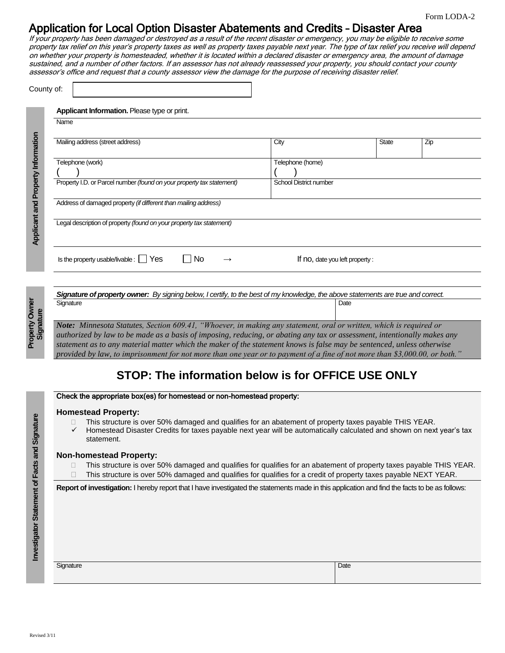# Application for Local Option Disaster Abatements and Credits – Disaster Area

If your property has been damaged or destroyed as a result of the recent disaster or emergency, you may be eligible to receive some property tax relief on this year's property taxes as well as property taxes payable next year. The type of tax relief you receive will depend on whether your property is homesteaded, whether it is located within a declared disaster or emergency area, the amount of damage sustained, and a number of other factors. If an assessor has not already reassessed your property, you should contact your county assessor's office and request that a county assessor view the damage for the purpose of receiving disaster relief.

| Name                                                                                                                                           |                               |                                |     |
|------------------------------------------------------------------------------------------------------------------------------------------------|-------------------------------|--------------------------------|-----|
| Mailing address (street address)                                                                                                               | City                          | <b>State</b>                   | Zip |
| Telephone (work)                                                                                                                               | Telephone (home)              |                                |     |
|                                                                                                                                                |                               |                                |     |
| Property I.D. or Parcel number (found on your property tax statement)                                                                          | <b>School District number</b> |                                |     |
| Address of damaged property (if different than mailing address)<br>Legal description of property (found on your property tax statement)        |                               |                                |     |
| l INo                                                                                                                                          |                               |                                |     |
| Is the property usable/livable : $\Box$ Yes                                                                                                    |                               | If no, date you left property: |     |
| Signature of property owner: By signing below, I certify, to the best of my knowledge, the above statements are true and correct.<br>Signature |                               | Date                           |     |

*Note: Minnesota Statutes, Section 609.41, "Whoever, in making any statement, oral or written, which is required or authorized by law to be made as a basis of imposing, reducing, or abating any tax or assessment, intentionally makes any statement as to any material matter which the maker of the statement knows is false may be sentenced, unless otherwise provided by law, to imprisonment for not more than one year or to payment of a fine of not more than \$3,000.00, or both."*

# **STOP: The information below is for OFFICE USE ONLY**

### Check the appropriate box(es) for homestead or non-homestead property:

#### **Homestead Property:**

- This structure is over 50% damaged and qualifies for an abatement of property taxes payable THIS YEAR.
- Homestead Disaster Credits for taxes payable next year will be automatically calculated and shown on next year's tax statement.

### **Non-homestead Property:**

- □ This structure is over 50% damaged and qualifies for qualifies for an abatement of property taxes payable THIS YEAR.
- $\Box$  This structure is over 50% damaged and qualifies for qualifies for a credit of property taxes payable NEXT YEAR.

**Report of investigation:** I hereby report that I have investigated the statements made in this application and find the facts to be as follows:

|  | ıqnatı |
|--|--------|

Signature **Date** Date **Date Date of Contract Contract Contract Contract Contract Contract Date Date**